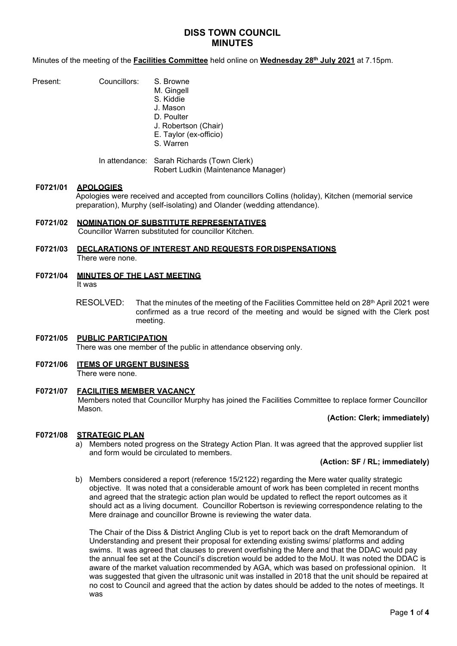# **DISS TOWN COUNCIL MINUTES**

Minutes of the meeting of the **Facilities Committee** held online on **Wednesday 28th July 2021** at 7.15pm.

| Present: | Councillors: | S. I |
|----------|--------------|------|
|          |              |      |

Browne M. Gingell S. Kiddie J. Mason D. Poulter J. Robertson (Chair) E. Taylor (ex-officio) S. Warren

In attendance: Sarah Richards (Town Clerk) Robert Ludkin (Maintenance Manager)

### **F0721/01 APOLOGIES**

Apologies were received and accepted from councillors Collins (holiday), Kitchen (memorial service preparation), Murphy (self-isolating) and Olander (wedding attendance).

# **F0721/02 NOMINATION OF SUBSTITUTE REPRESENTATIVES** Councillor Warren substituted for councillor Kitchen.

# **F0721/03 DECLARATIONS OF INTEREST AND REQUESTS FOR DISPENSATIONS** There were none.

- **F0721/04 MINUTES OF THE LAST MEETING** It was
	- RESOLVED: That the minutes of the meeting of the Facilities Committee held on 28<sup>th</sup> April 2021 were confirmed as a true record of the meeting and would be signed with the Clerk post meeting.

# **F0721/05 PUBLIC PARTICIPATION**

There was one member of the public in attendance observing only.

#### **F0721/06 ITEMS OF URGENT BUSINESS** There were none.

# **F0721/07 FACILITIES MEMBER VACANCY**

Members noted that Councillor Murphy has joined the Facilities Committee to replace former Councillor Mason.

# **(Action: Clerk; immediately)**

# **F0721/08 STRATEGIC PLAN**

a) Members noted progress on the Strategy Action Plan. It was agreed that the approved supplier list and form would be circulated to members.

### **(Action: SF / RL; immediately)**

b) Members considered a report (reference 15/2122) regarding the Mere water quality strategic objective. It was noted that a considerable amount of work has been completed in recent months and agreed that the strategic action plan would be updated to reflect the report outcomes as it should act as a living document. Councillor Robertson is reviewing correspondence relating to the Mere drainage and councillor Browne is reviewing the water data.

The Chair of the Diss & District Angling Club is yet to report back on the draft Memorandum of Understanding and present their proposal for extending existing swims/ platforms and adding swims. It was agreed that clauses to prevent overfishing the Mere and that the DDAC would pay the annual fee set at the Council's discretion would be added to the MoU. It was noted the DDAC is aware of the market valuation recommended by AGA, which was based on professional opinion. It was suggested that given the ultrasonic unit was installed in 2018 that the unit should be repaired at no cost to Council and agreed that the action by dates should be added to the notes of meetings. It was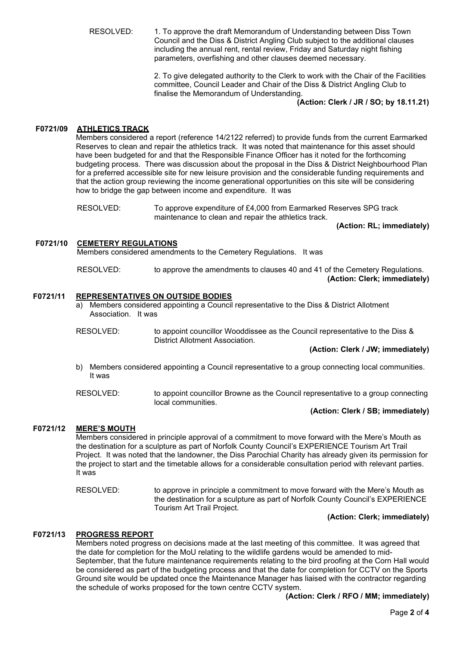RESOLVED: 1. To approve the draft Memorandum of Understanding between Diss Town Council and the Diss & District Angling Club subject to the additional clauses including the annual rent, rental review, Friday and Saturday night fishing parameters, overfishing and other clauses deemed necessary.

> 2. To give delegated authority to the Clerk to work with the Chair of the Facilities committee, Council Leader and Chair of the Diss & District Angling Club to finalise the Memorandum of Understanding.

**(Action: Clerk / JR / SO; by 18.11.21)**

# **F0721/09 ATHLETICS TRACK**

Members considered a report (reference 14/2122 referred) to provide funds from the current Earmarked Reserves to clean and repair the athletics track. It was noted that maintenance for this asset should have been budgeted for and that the Responsible Finance Officer has it noted for the forthcoming budgeting process. There was discussion about the proposal in the Diss & District Neighbourhood Plan for a preferred accessible site for new leisure provision and the considerable funding requirements and that the action group reviewing the income generational opportunities on this site will be considering how to bridge the gap between income and expenditure. It was

RESOLVED: To approve expenditure of £4,000 from Earmarked Reserves SPG track maintenance to clean and repair the athletics track.

**(Action: RL; immediately)**

# **F0721/10 CEMETERY REGULATIONS**

Members considered amendments to the Cemetery Regulations. It was

RESOLVED: to approve the amendments to clauses 40 and 41 of the Cemetery Regulations. **(Action: Clerk; immediately)**

#### **F0721/11 REPRESENTATIVES ON OUTSIDE BODIES**

- a) Members considered appointing a Council representative to the Diss & District Allotment Association. It was
- RESOLVED: to appoint councillor Wooddissee as the Council representative to the Diss & District Allotment Association.

**(Action: Clerk / JW; immediately)**

- b) Members considered appointing a Council representative to a group connecting local communities. It was
- RESOLVED: to appoint councillor Browne as the Council representative to a group connecting local communities.

#### **(Action: Clerk / SB; immediately)**

### **F0721/12 MERE'S MOUTH**

Members considered in principle approval of a commitment to move forward with the Mere's Mouth as the destination for a sculpture as part of Norfolk County Council's EXPERIENCE Tourism Art Trail Project. It was noted that the landowner, the Diss Parochial Charity has already given its permission for the project to start and the timetable allows for a considerable consultation period with relevant parties. It was

RESOLVED: to approve in principle a commitment to move forward with the Mere's Mouth as the destination for a sculpture as part of Norfolk County Council's EXPERIENCE Tourism Art Trail Project.

### **(Action: Clerk; immediately)**

## **F0721/13 PROGRESS REPORT**

Members noted progress on decisions made at the last meeting of this committee. It was agreed that the date for completion for the MoU relating to the wildlife gardens would be amended to mid-September, that the future maintenance requirements relating to the bird proofing at the Corn Hall would be considered as part of the budgeting process and that the date for completion for CCTV on the Sports Ground site would be updated once the Maintenance Manager has liaised with the contractor regarding the schedule of works proposed for the town centre CCTV system.

**(Action: Clerk / RFO / MM; immediately)**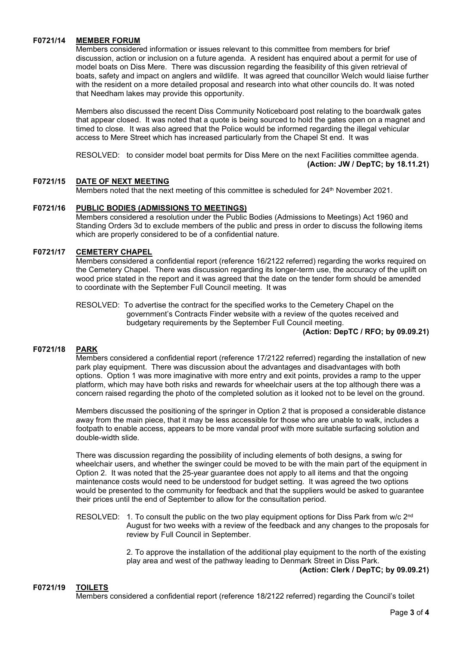# **F0721/14 MEMBER FORUM**

Members considered information or issues relevant to this committee from members for brief discussion, action or inclusion on a future agenda. A resident has enquired about a permit for use of model boats on Diss Mere. There was discussion regarding the feasibility of this given retrieval of boats, safety and impact on anglers and wildlife. It was agreed that councillor Welch would liaise further with the resident on a more detailed proposal and research into what other councils do. It was noted that Needham lakes may provide this opportunity.

Members also discussed the recent Diss Community Noticeboard post relating to the boardwalk gates that appear closed. It was noted that a quote is being sourced to hold the gates open on a magnet and timed to close. It was also agreed that the Police would be informed regarding the illegal vehicular access to Mere Street which has increased particularly from the Chapel St end. It was

RESOLVED: to consider model boat permits for Diss Mere on the next Facilities committee agenda. **(Action: JW / DepTC; by 18.11.21)**

# **F0721/15 DATE OF NEXT MEETING**

Members noted that the next meeting of this committee is scheduled for 24<sup>th</sup> November 2021.

# **F0721/16 PUBLIC BODIES (ADMISSIONS TO MEETINGS)**

Members considered a resolution under the Public Bodies (Admissions to Meetings) Act 1960 and Standing Orders 3d to exclude members of the public and press in order to discuss the following items which are properly considered to be of a confidential nature.

# **F0721/17 CEMETERY CHAPEL**

Members considered a confidential report (reference 16/2122 referred) regarding the works required on the Cemetery Chapel. There was discussion regarding its longer-term use, the accuracy of the uplift on wood price stated in the report and it was agreed that the date on the tender form should be amended to coordinate with the September Full Council meeting. It was

RESOLVED: To advertise the contract for the specified works to the Cemetery Chapel on the government's Contracts Finder website with a review of the quotes received and budgetary requirements by the September Full Council meeting.

**(Action: DepTC / RFO; by 09.09.21)**

# **F0721/18 PARK**

Members considered a confidential report (reference 17/2122 referred) regarding the installation of new park play equipment. There was discussion about the advantages and disadvantages with both options. Option 1 was more imaginative with more entry and exit points, provides a ramp to the upper platform, which may have both risks and rewards for wheelchair users at the top although there was a concern raised regarding the photo of the completed solution as it looked not to be level on the ground.

Members discussed the positioning of the springer in Option 2 that is proposed a considerable distance away from the main piece, that it may be less accessible for those who are unable to walk, includes a footpath to enable access, appears to be more vandal proof with more suitable surfacing solution and double-width slide.

There was discussion regarding the possibility of including elements of both designs, a swing for wheelchair users, and whether the swinger could be moved to be with the main part of the equipment in Option 2. It was noted that the 25-year guarantee does not apply to all items and that the ongoing maintenance costs would need to be understood for budget setting. It was agreed the two options would be presented to the community for feedback and that the suppliers would be asked to guarantee their prices until the end of September to allow for the consultation period.

RESOLVED: 1. To consult the public on the two play equipment options for Diss Park from w/c 2<sup>nd</sup> August for two weeks with a review of the feedback and any changes to the proposals for review by Full Council in September.

> 2. To approve the installation of the additional play equipment to the north of the existing play area and west of the pathway leading to Denmark Street in Diss Park. **(Action: Clerk / DepTC; by 09.09.21)**

# **F0721/19 TOILETS**

Members considered a confidential report (reference 18/2122 referred) regarding the Council's toilet